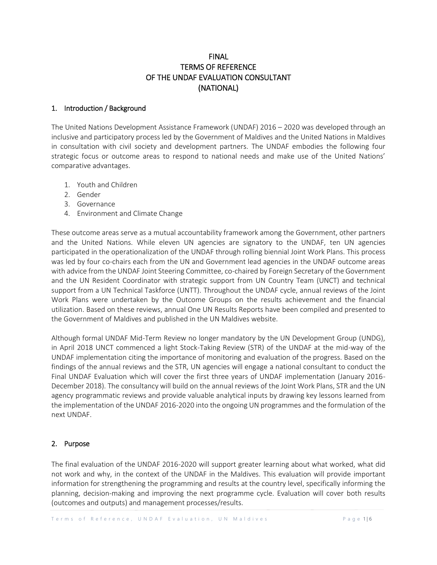# FINAL TERMS OF REFERENCE OF THE UNDAF EVALUATION CONSULTANT (NATIONAL)

### 1. Introduction / Background

The United Nations Development Assistance Framework (UNDAF) 2016 – 2020 was developed through an inclusive and participatory process led by the Government of Maldives and the United Nations in Maldives in consultation with civil society and development partners. The UNDAF embodies the following four strategic focus or outcome areas to respond to national needs and make use of the United Nations' comparative advantages.

- 1. Youth and Children
- 2. Gender
- 3. Governance
- 4. Environment and Climate Change

These outcome areas serve as a mutual accountability framework among the Government, other partners and the United Nations. While eleven UN agencies are signatory to the UNDAF, ten UN agencies participated in the operationalization of the UNDAF through rolling biennial Joint Work Plans. This process was led by four co-chairs each from the UN and Government lead agencies in the UNDAF outcome areas with advice from the UNDAF Joint Steering Committee, co-chaired by Foreign Secretary of the Government and the UN Resident Coordinator with strategic support from UN Country Team (UNCT) and technical support from a UN Technical Taskforce (UNTT). Throughout the UNDAF cycle, annual reviews of the Joint Work Plans were undertaken by the Outcome Groups on the results achievement and the financial utilization. Based on these reviews, annual One UN Results Reports have been compiled and presented to the Government of Maldives and published in the UN Maldives website.

Although formal UNDAF Mid-Term Review no longer mandatory by the UN Development Group (UNDG), in April 2018 UNCT commenced a light Stock-Taking Review (STR) of the UNDAF at the mid-way of the UNDAF implementation citing the importance of monitoring and evaluation of the progress. Based on the findings of the annual reviews and the STR, UN agencies will engage a national consultant to conduct the Final UNDAF Evaluation which will cover the first three years of UNDAF implementation (January 2016- December 2018). The consultancy will build on the annual reviews of the Joint Work Plans, STR and the UN agency programmatic reviews and provide valuable analytical inputs by drawing key lessons learned from the implementation of the UNDAF 2016-2020 into the ongoing UN programmes and the formulation of the next UNDAF.

## 2. Purpose

The final evaluation of the UNDAF 2016-2020 will support greater learning about what worked, what did not work and why, in the context of the UNDAF in the Maldives. This evaluation will provide important information for strengthening the programming and results at the country level, specifically informing the planning, decision-making and improving the next programme cycle. Evaluation will cover both results (outcomes and outputs) and management processes/results.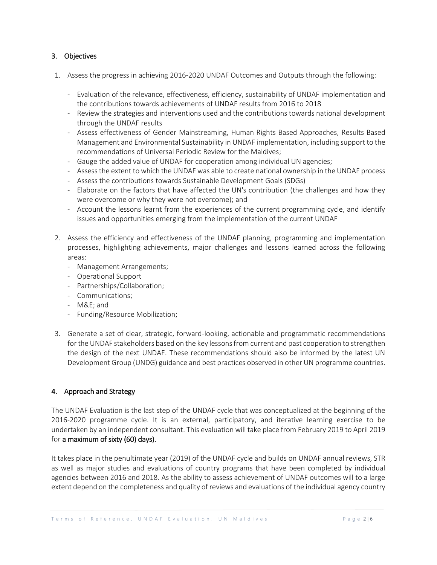### 3. Objectives

- 1. Assess the progress in achieving 2016-2020 UNDAF Outcomes and Outputs through the following:
	- Evaluation of the relevance, effectiveness, efficiency, sustainability of UNDAF implementation and the contributions towards achievements of UNDAF results from 2016 to 2018
	- Review the strategies and interventions used and the contributions towards national development through the UNDAF results
	- Assess effectiveness of Gender Mainstreaming, Human Rights Based Approaches, Results Based Management and Environmental Sustainability in UNDAF implementation, including support to the recommendations of Universal Periodic Review for the Maldives;
	- Gauge the added value of UNDAF for cooperation among individual UN agencies;
	- Assess the extent to which the UNDAF was able to create national ownership in the UNDAF process
	- Assess the contributions towards Sustainable Development Goals (SDGs)
	- Elaborate on the factors that have affected the UN's contribution (the challenges and how they were overcome or why they were not overcome); and
	- Account the lessons learnt from the experiences of the current programming cycle, and identify issues and opportunities emerging from the implementation of the current UNDAF
- 2. Assess the efficiency and effectiveness of the UNDAF planning, programming and implementation processes, highlighting achievements, major challenges and lessons learned across the following areas:
	- Management Arrangements;
	- Operational Support
	- Partnerships/Collaboration;
	- Communications;
	- M&E; and
	- Funding/Resource Mobilization;
- 3. Generate a set of clear, strategic, forward-looking, actionable and programmatic recommendations for the UNDAF stakeholders based on the key lessons from current and past cooperation to strengthen the design of the next UNDAF. These recommendations should also be informed by the latest UN Development Group (UNDG) guidance and best practices observed in other UN programme countries.

## 4. Approach and Strategy

The UNDAF Evaluation is the last step of the UNDAF cycle that was conceptualized at the beginning of the 2016-2020 programme cycle. It is an external, participatory, and iterative learning exercise to be undertaken by an independent consultant. This evaluation will take place from February 2019 to April 2019 for a maximum of sixty (60) days).

It takes place in the penultimate year (2019) of the UNDAF cycle and builds on UNDAF annual reviews, STR as well as major studies and evaluations of country programs that have been completed by individual agencies between 2016 and 2018. As the ability to assess achievement of UNDAF outcomes will to a large extent depend on the completeness and quality of reviews and evaluations of the individual agency country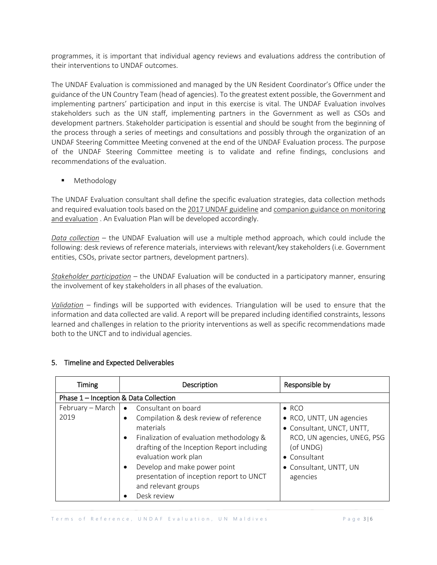programmes, it is important that individual agency reviews and evaluations address the contribution of their interventions to UNDAF outcomes.

The UNDAF Evaluation is commissioned and managed by the UN Resident Coordinator's Office under the guidance of the UN Country Team (head of agencies). To the greatest extent possible, the Government and implementing partners' participation and input in this exercise is vital. The UNDAF Evaluation involves stakeholders such as the UN staff, implementing partners in the Government as well as CSOs and development partners. Stakeholder participation is essential and should be sought from the beginning of the process through a series of meetings and consultations and possibly through the organization of an UNDAF Steering Committee Meeting convened at the end of the UNDAF Evaluation process. The purpose of the UNDAF Steering Committee meeting is to validate and refine findings, conclusions and recommendations of the evaluation.

Methodology

The UNDAF Evaluation consultant shall define the specific evaluation strategies, data collection methods and required evaluation tools based on the 2017 [UNDAF guideline](https://undg.org/document/2017-undaf-guidance/) and companion guidance on monitoring [and evaluation](https://undg.org/wp-content/uploads/2017/06/UNDG-UNDAF-Companion-Pieces-6-Monitoring-And-Evaluation.pdf) . An Evaluation Plan will be developed accordingly.

*Data collection* – the UNDAF Evaluation will use a multiple method approach, which could include the following: desk reviews of reference materials, interviews with relevant/key stakeholders (i.e. Government entities, CSOs, private sector partners, development partners).

*Stakeholder participation* – the UNDAF Evaluation will be conducted in a participatory manner, ensuring the involvement of key stakeholders in all phases of the evaluation.

*Validation* – findings will be supported with evidences. Triangulation will be used to ensure that the information and data collected are valid. A report will be prepared including identified constraints, lessons learned and challenges in relation to the priority interventions as well as specific recommendations made both to the UNCT and to individual agencies.

| Timing                                | <b>Description</b>                                                                                                                                                                                                                                                                                                                         | Responsible by                                                                                                                                                           |  |  |
|---------------------------------------|--------------------------------------------------------------------------------------------------------------------------------------------------------------------------------------------------------------------------------------------------------------------------------------------------------------------------------------------|--------------------------------------------------------------------------------------------------------------------------------------------------------------------------|--|--|
| Phase 1 - Inception & Data Collection |                                                                                                                                                                                                                                                                                                                                            |                                                                                                                                                                          |  |  |
| February – March $\vert$<br>2019      | • Consultant on board<br>Compilation & desk review of reference<br>materials<br>Finalization of evaluation methodology &<br>$\bullet$<br>drafting of the Inception Report including<br>evaluation work plan<br>Develop and make power point<br>$\bullet$<br>presentation of inception report to UNCT<br>and relevant groups<br>Desk review | $\bullet$ RCO<br>• RCO, UNTT, UN agencies<br>· Consultant, UNCT, UNTT,<br>RCO, UN agencies, UNEG, PSG<br>(of UNDG)<br>• Consultant<br>• Consultant, UNTT, UN<br>agencies |  |  |

## 5. Timeline and Expected Deliverables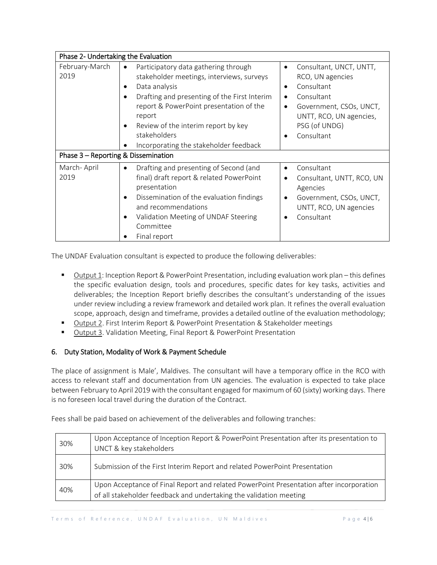| Phase 2- Undertaking the Evaluation |                                                                                                                                                                                                                                                                                                                                                              |                                                                                                                                                                                                                  |  |  |
|-------------------------------------|--------------------------------------------------------------------------------------------------------------------------------------------------------------------------------------------------------------------------------------------------------------------------------------------------------------------------------------------------------------|------------------------------------------------------------------------------------------------------------------------------------------------------------------------------------------------------------------|--|--|
| February-March<br>2019              | Participatory data gathering through<br>$\bullet$<br>stakeholder meetings, interviews, surveys<br>Data analysis<br>$\bullet$<br>Drafting and presenting of the First Interim<br>$\bullet$<br>report & PowerPoint presentation of the<br>report<br>Review of the interim report by key<br>$\bullet$<br>stakeholders<br>Incorporating the stakeholder feedback | Consultant, UNCT, UNTT,<br>$\bullet$<br>RCO, UN agencies<br>Consultant<br>$\bullet$<br>Consultant<br>$\bullet$<br>Government, CSOs, UNCT,<br>$\bullet$<br>UNTT, RCO, UN agencies,<br>PSG (of UNDG)<br>Consultant |  |  |
| Phase 3 - Reporting & Dissemination |                                                                                                                                                                                                                                                                                                                                                              |                                                                                                                                                                                                                  |  |  |
| March-April<br>2019                 | Drafting and presenting of Second (and<br>$\bullet$<br>final) draft report & related PowerPoint<br>presentation<br>Dissemination of the evaluation findings<br>$\bullet$<br>and recommendations<br>Validation Meeting of UNDAF Steering<br>$\bullet$<br>Committee<br>Final report                                                                            | Consultant<br>$\bullet$<br>Consultant, UNTT, RCO, UN<br>Agencies<br>Government, CSOs, UNCT,<br>$\bullet$<br>UNTT, RCO, UN agencies<br>Consultant<br>$\bullet$                                                    |  |  |

The UNDAF Evaluation consultant is expected to produce the following deliverables:

- Output 1: Inception Report& PowerPoint Presentation, including evaluation work plan this defines the specific evaluation design, tools and procedures, specific dates for key tasks, activities and deliverables; the Inception Report briefly describes the consultant's understanding of the issues under review including a review framework and detailed work plan. It refines the overall evaluation scope, approach, design and timeframe, provides a detailed outline of the evaluation methodology;
- Output 2. First Interim Report & PowerPoint Presentation & Stakeholder meetings
- Output 3. Validation Meeting, Final Report & PowerPoint Presentation

# 6. Duty Station, Modality of Work & Payment Schedule

The place of assignment is Male', Maldives. The consultant will have a temporary office in the RCO with access to relevant staff and documentation from UN agencies. The evaluation is expected to take place between February to April 2019 with the consultant engaged for maximum of 60 (sixty) working days. There is no foreseen local travel during the duration of the Contract.

Fees shall be paid based on achievement of the deliverables and following tranches:

| 30% | Upon Acceptance of Inception Report & PowerPoint Presentation after its presentation to<br>UNCT & key stakeholders                                            |
|-----|---------------------------------------------------------------------------------------------------------------------------------------------------------------|
| 30% | Submission of the First Interim Report and related PowerPoint Presentation                                                                                    |
| 40% | Upon Acceptance of Final Report and related PowerPoint Presentation after incorporation<br>of all stakeholder feedback and undertaking the validation meeting |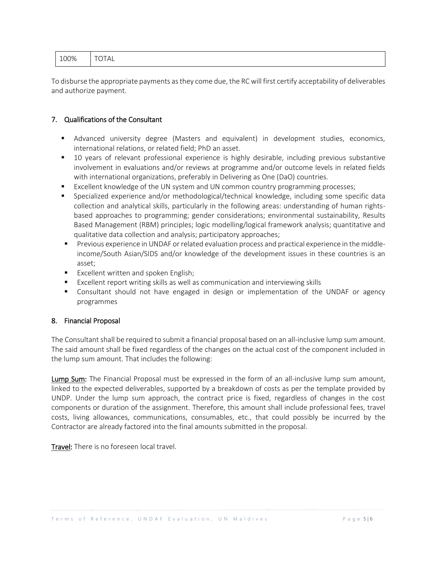| 100%   TOTAL |  |
|--------------|--|
|--------------|--|

To disburse the appropriate payments as they come due, the RC will first certify acceptability of deliverables and authorize payment.

#### 7. Qualifications of the Consultant

- Advanced university degree (Masters and equivalent) in development studies, economics, international relations, or related field; PhD an asset.
- 10 years of relevant professional experience is highly desirable, including previous substantive involvement in evaluations and/or reviews at programme and/or outcome levels in related fields with international organizations, preferably in Delivering as One (DaO) countries.
- Excellent knowledge of the UN system and UN common country programming processes;
- Specialized experience and/or methodological/technical knowledge, including some specific data collection and analytical skills, particularly in the following areas: understanding of human rightsbased approaches to programming; gender considerations; environmental sustainability, Results Based Management (RBM) principles; logic modelling/logical framework analysis; quantitative and qualitative data collection and analysis; participatory approaches;
- **Previous experience in UNDAF or related evaluation process and practical experience in the middle**income/South Asian/SIDS and/or knowledge of the development issues in these countries is an asset;
- **Excellent written and spoken English;**
- Excellent report writing skills as well as communication and interviewing skills
- Consultant should not have engaged in design or implementation of the UNDAF or agency programmes

#### 8. Financial Proposal

The Consultant shall be required to submit a financial proposal based on an all-inclusive lump sum amount. The said amount shall be fixed regardless of the changes on the actual cost of the component included in the lump sum amount. That includes the following:

Lump Sum: The Financial Proposal must be expressed in the form of an all-inclusive lump sum amount, linked to the expected deliverables, supported by a breakdown of costs as per the template provided by UNDP. Under the lump sum approach, the contract price is fixed, regardless of changes in the cost components or duration of the assignment. Therefore, this amount shall include professional fees, travel costs, living allowances, communications, consumables, etc., that could possibly be incurred by the Contractor are already factored into the final amounts submitted in the proposal.

Travel: There is no foreseen local travel.